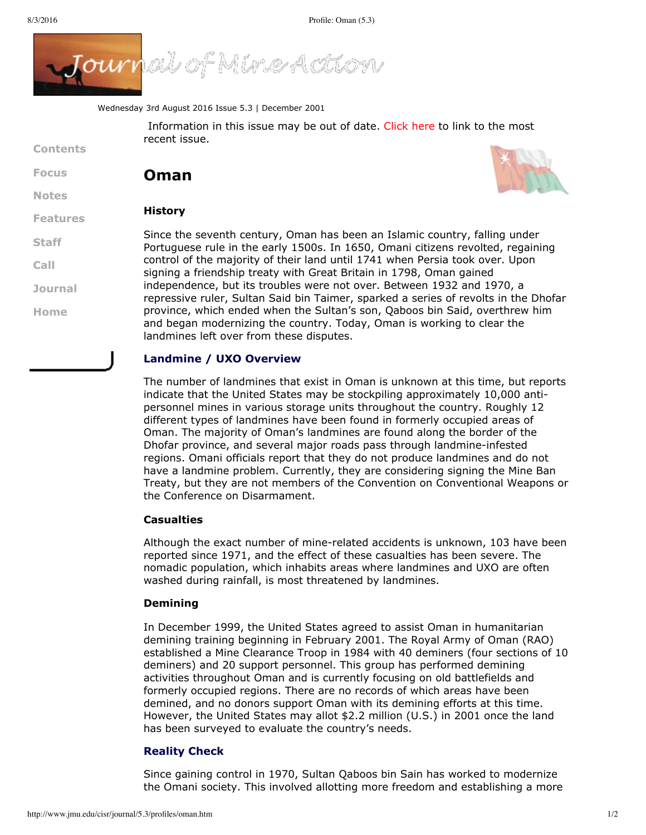

Wednesday 3rd August 2016 Issue 5.3 | December 2001

Information in this issue may be out of date. [Click](http://www.jmu.edu/cisr/journal/current.shtml) here to link to the most recent issue.

# **Contents**

**[Focus](http://www.jmu.edu/cisr/journal/5.3/index.htm#focus) Oman**

**[Notes](http://www.jmu.edu/cisr/journal/5.3/index.htm#notes)**

**[Staff](http://www.jmu.edu/cisr/staff/index.shtml)**

**[Call](http://www.jmu.edu/cisr/journal/cfps.shtml)**

**[Journal](http://www.jmu.edu/cisr/journal/past-issues.shtml)**

**[Home](http://www.jmu.edu/cisr/journal/5.3/index.htm)**

## **[Features](http://www.jmu.edu/cisr/journal/5.3/index.htm#feature)**

**History**



Since the seventh century, Oman has been an Islamic country, falling under Portuguese rule in the early 1500s. In 1650, Omani citizens revolted, regaining control of the majority of their land until 1741 when Persia took over. Upon signing a friendship treaty with Great Britain in 1798, Oman gained independence, but its troubles were not over. Between 1932 and 1970, a repressive ruler, Sultan Said bin Taimer, sparked a series of revolts in the Dhofar province, which ended when the Sultan's son, Qaboos bin Said, overthrew him and began modernizing the country. Today, Oman is working to clear the landmines left over from these disputes.

#### **Landmine / UXO Overview**

The number of landmines that exist in Oman is unknown at this time, but reports indicate that the United States may be stockpiling approximately 10,000 antipersonnel mines in various storage units throughout the country. Roughly 12 different types of landmines have been found in formerly occupied areas of Oman. The majority of Oman's landmines are found along the border of the Dhofar province, and several major roads pass through landmine-infested regions. Omani officials report that they do not produce landmines and do not have a landmine problem. Currently, they are considering signing the Mine Ban Treaty, but they are not members of the Convention on Conventional Weapons or the Conference on Disarmament.

#### **Casualties**

Although the exact number of mine-related accidents is unknown, 103 have been reported since 1971, and the effect of these casualties has been severe. The nomadic population, which inhabits areas where landmines and UXO are often washed during rainfall, is most threatened by landmines.

#### **Demining**

In December 1999, the United States agreed to assist Oman in humanitarian demining training beginning in February 2001. The Royal Army of Oman (RAO) established a Mine Clearance Troop in 1984 with 40 deminers (four sections of 10 deminers) and 20 support personnel. This group has performed demining activities throughout Oman and is currently focusing on old battlefields and formerly occupied regions. There are no records of which areas have been demined, and no donors support Oman with its demining efforts at this time. However, the United States may allot \$2.2 million (U.S.) in 2001 once the land has been surveyed to evaluate the country's needs.

#### **Reality Check**

Since gaining control in 1970, Sultan Qaboos bin Sain has worked to modernize the Omani society. This involved allotting more freedom and establishing a more